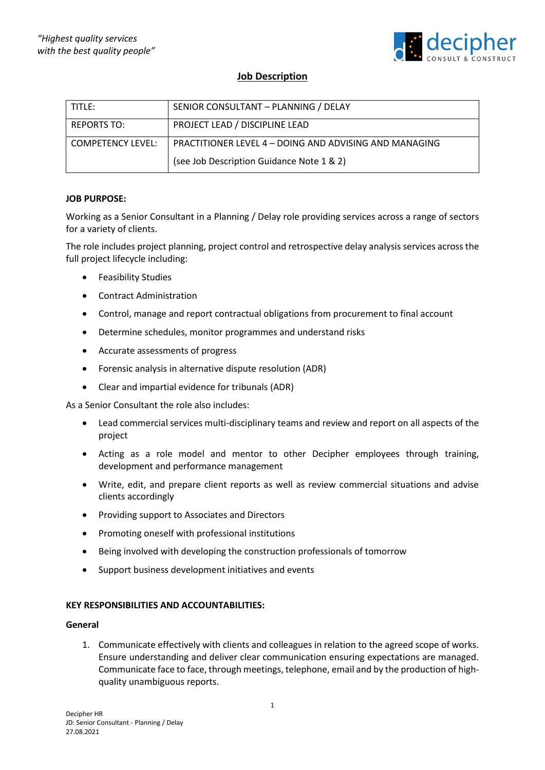

# **Job Description**

| i title:                 | SENIOR CONSULTANT - PLANNING / DELAY                          |
|--------------------------|---------------------------------------------------------------|
| <b>REPORTS TO:</b>       | PROJECT LEAD / DISCIPLINE LEAD                                |
| <b>COMPETENCY LEVEL:</b> | <b>PRACTITIONER LEVEL 4 – DOING AND ADVISING AND MANAGING</b> |
|                          | (see Job Description Guidance Note 1 & 2)                     |

## **JOB PURPOSE:**

Working as a Senior Consultant in a Planning / Delay role providing services across a range of sectors for a variety of clients.

The role includes project planning, project control and retrospective delay analysis services across the full project lifecycle including:

- Feasibility Studies
- Contract Administration
- Control, manage and report contractual obligations from procurement to final account
- Determine schedules, monitor programmes and understand risks
- Accurate assessments of progress
- Forensic analysis in alternative dispute resolution (ADR)
- Clear and impartial evidence for tribunals (ADR)

As a Senior Consultant the role also includes:

- Lead commercial services multi-disciplinary teams and review and report on all aspects of the project
- Acting as a role model and mentor to other Decipher employees through training, development and performance management
- Write, edit, and prepare client reports as well as review commercial situations and advise clients accordingly
- Providing support to Associates and Directors
- Promoting oneself with professional institutions
- Being involved with developing the construction professionals of tomorrow
- Support business development initiatives and events

## **KEY RESPONSIBILITIES AND ACCOUNTABILITIES:**

#### **General**

1. Communicate effectively with clients and colleagues in relation to the agreed scope of works. Ensure understanding and deliver clear communication ensuring expectations are managed. Communicate face to face, through meetings, telephone, email and by the production of highquality unambiguous reports.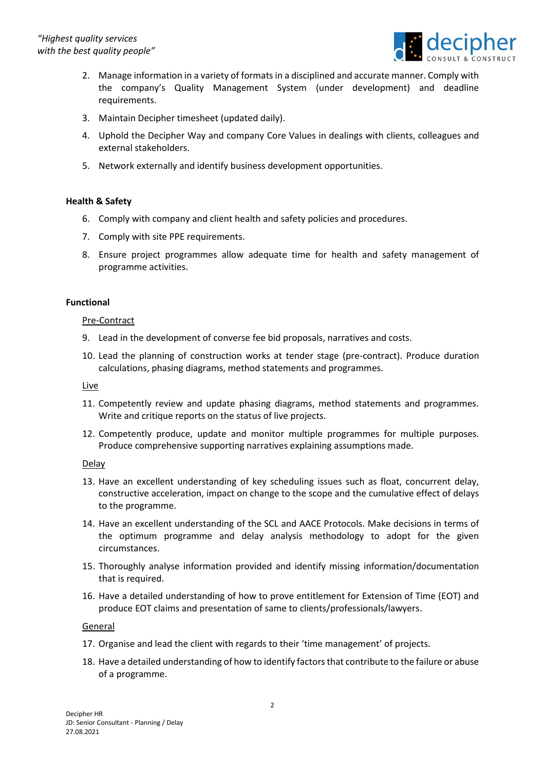

- 2. Manage information in a variety of formats in a disciplined and accurate manner. Comply with the company's Quality Management System (under development) and deadline requirements.
- 3. Maintain Decipher timesheet (updated daily).
- 4. Uphold the Decipher Way and company Core Values in dealings with clients, colleagues and external stakeholders.
- 5. Network externally and identify business development opportunities.

## **Health & Safety**

- 6. Comply with company and client health and safety policies and procedures.
- 7. Comply with site PPE requirements.
- 8. Ensure project programmes allow adequate time for health and safety management of programme activities.

## **Functional**

## Pre-Contract

- 9. Lead in the development of converse fee bid proposals, narratives and costs.
- 10. Lead the planning of construction works at tender stage (pre-contract). Produce duration calculations, phasing diagrams, method statements and programmes.

## Live

- 11. Competently review and update phasing diagrams, method statements and programmes. Write and critique reports on the status of live projects.
- 12. Competently produce, update and monitor multiple programmes for multiple purposes. Produce comprehensive supporting narratives explaining assumptions made.

## Delay

- 13. Have an excellent understanding of key scheduling issues such as float, concurrent delay, constructive acceleration, impact on change to the scope and the cumulative effect of delays to the programme.
- 14. Have an excellent understanding of the SCL and AACE Protocols. Make decisions in terms of the optimum programme and delay analysis methodology to adopt for the given circumstances.
- 15. Thoroughly analyse information provided and identify missing information/documentation that is required.
- 16. Have a detailed understanding of how to prove entitlement for Extension of Time (EOT) and produce EOT claims and presentation of same to clients/professionals/lawyers.

## General

- 17. Organise and lead the client with regards to their 'time management' of projects.
- 18. Have a detailed understanding of how to identify factors that contribute to the failure or abuse of a programme.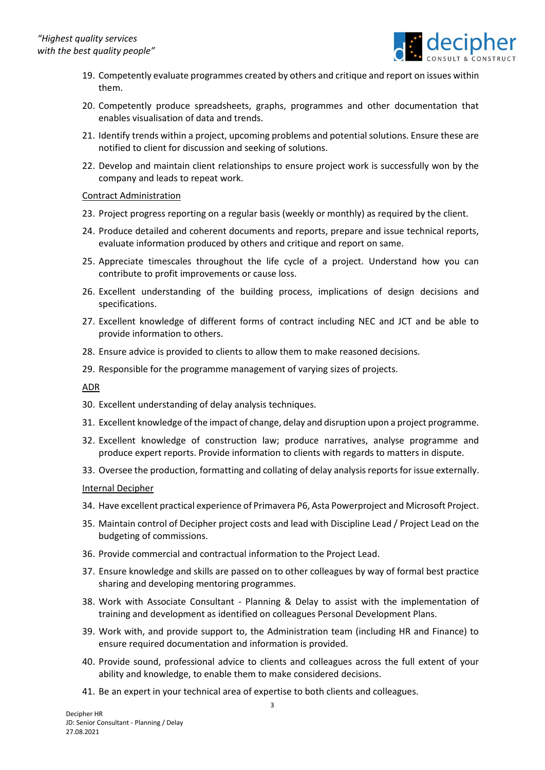

- 19. Competently evaluate programmes created by others and critique and report on issues within them.
- 20. Competently produce spreadsheets, graphs, programmes and other documentation that enables visualisation of data and trends.
- 21. Identify trends within a project, upcoming problems and potential solutions. Ensure these are notified to client for discussion and seeking of solutions.
- 22. Develop and maintain client relationships to ensure project work is successfully won by the company and leads to repeat work.

#### Contract Administration

- 23. Project progress reporting on a regular basis (weekly or monthly) as required by the client.
- 24. Produce detailed and coherent documents and reports, prepare and issue technical reports, evaluate information produced by others and critique and report on same.
- 25. Appreciate timescales throughout the life cycle of a project. Understand how you can contribute to profit improvements or cause loss.
- 26. Excellent understanding of the building process, implications of design decisions and specifications.
- 27. Excellent knowledge of different forms of contract including NEC and JCT and be able to provide information to others.
- 28. Ensure advice is provided to clients to allow them to make reasoned decisions.
- 29. Responsible for the programme management of varying sizes of projects.

ADR

- 30. Excellent understanding of delay analysis techniques.
- 31. Excellent knowledge of the impact of change, delay and disruption upon a project programme.
- 32. Excellent knowledge of construction law; produce narratives, analyse programme and produce expert reports. Provide information to clients with regards to matters in dispute.
- 33. Oversee the production, formatting and collating of delay analysis reports for issue externally.

## Internal Decipher

- 34. Have excellent practical experience of Primavera P6, Asta Powerproject and Microsoft Project.
- 35. Maintain control of Decipher project costs and lead with Discipline Lead / Project Lead on the budgeting of commissions.
- 36. Provide commercial and contractual information to the Project Lead.
- 37. Ensure knowledge and skills are passed on to other colleagues by way of formal best practice sharing and developing mentoring programmes.
- 38. Work with Associate Consultant Planning & Delay to assist with the implementation of training and development as identified on colleagues Personal Development Plans.
- 39. Work with, and provide support to, the Administration team (including HR and Finance) to ensure required documentation and information is provided.
- 40. Provide sound, professional advice to clients and colleagues across the full extent of your ability and knowledge, to enable them to make considered decisions.
- 41. Be an expert in your technical area of expertise to both clients and colleagues.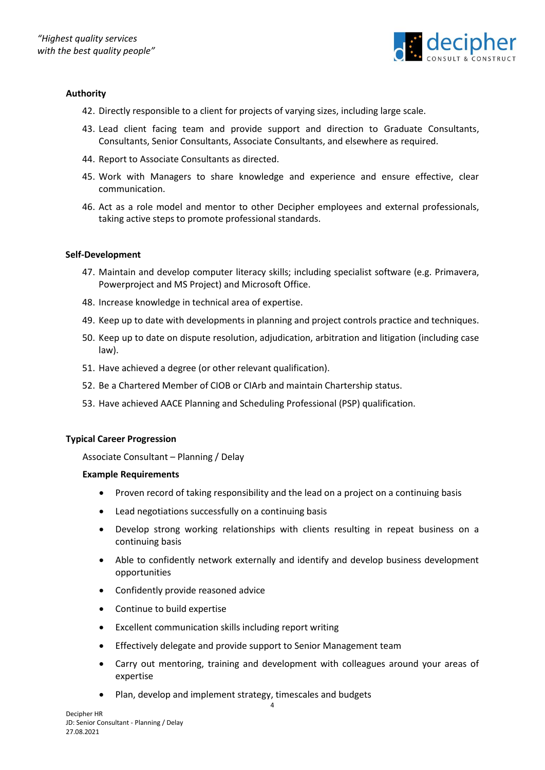

## **Authority**

- 42. Directly responsible to a client for projects of varying sizes, including large scale.
- 43. Lead client facing team and provide support and direction to Graduate Consultants, Consultants, Senior Consultants, Associate Consultants, and elsewhere as required.
- 44. Report to Associate Consultants as directed.
- 45. Work with Managers to share knowledge and experience and ensure effective, clear communication.
- 46. Act as a role model and mentor to other Decipher employees and external professionals, taking active steps to promote professional standards.

#### **Self-Development**

- 47. Maintain and develop computer literacy skills; including specialist software (e.g. Primavera, Powerproject and MS Project) and Microsoft Office.
- 48. Increase knowledge in technical area of expertise.
- 49. Keep up to date with developments in planning and project controls practice and techniques.
- 50. Keep up to date on dispute resolution, adjudication, arbitration and litigation (including case law).
- 51. Have achieved a degree (or other relevant qualification).
- 52. Be a Chartered Member of CIOB or CIArb and maintain Chartership status.
- 53. Have achieved AACE Planning and Scheduling Professional (PSP) qualification.

## **Typical Career Progression**

Associate Consultant – Planning / Delay

## **Example Requirements**

- Proven record of taking responsibility and the lead on a project on a continuing basis
- Lead negotiations successfully on a continuing basis
- Develop strong working relationships with clients resulting in repeat business on a continuing basis
- Able to confidently network externally and identify and develop business development opportunities
- Confidently provide reasoned advice
- Continue to build expertise
- Excellent communication skills including report writing
- Effectively delegate and provide support to Senior Management team
- Carry out mentoring, training and development with colleagues around your areas of expertise
- Plan, develop and implement strategy, timescales and budgets